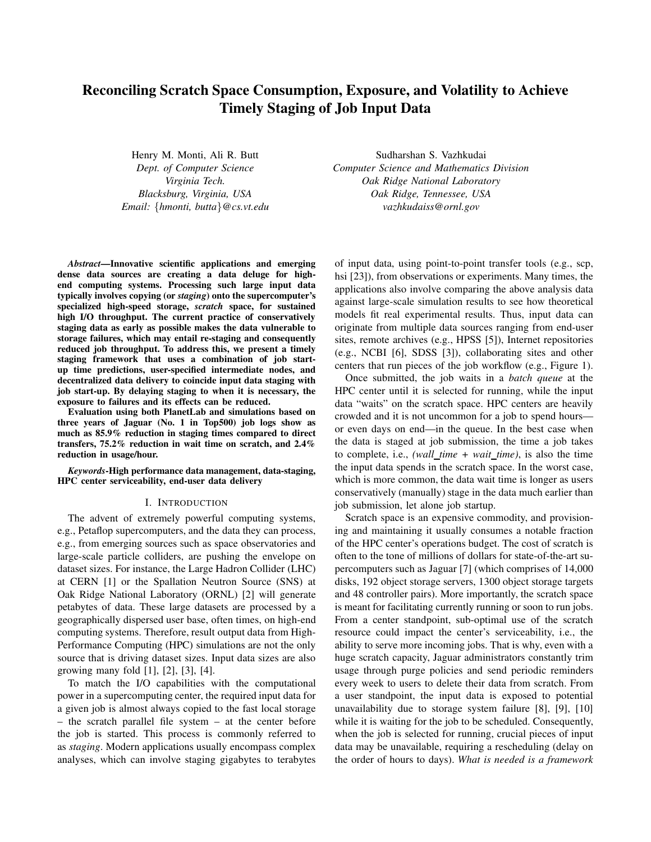# **Reconciling Scratch Space Consumption, Exposure, and Volatility to Achieve Timely Staging of Job Input Data**

Henry M. Monti, Ali R. Butt *Dept. of Computer Science Virginia Tech. Blacksburg, Virginia, USA Email:* {*hmonti, butta*}*@cs.vt.edu*

*Abstract***—Innovative scientific applications and emerging dense data sources are creating a data deluge for highend computing systems. Processing such large input data typically involves copying (or** *staging***) onto the supercomputer's specialized high-speed storage,** *scratch* **space, for sustained high I/O throughput. The current practice of conservatively staging data as early as possible makes the data vulnerable to storage failures, which may entail re-staging and consequently reduced job throughput. To address this, we present a timely staging framework that uses a combination of job startup time predictions, user-specified intermediate nodes, and decentralized data delivery to coincide input data staging with job start-up. By delaying staging to when it is necessary, the exposure to failures and its effects can be reduced.**

**Evaluation using both PlanetLab and simulations based on three years of Jaguar (No. 1 in Top500) job logs show as much as 85.9% reduction in staging times compared to direct transfers, 75.2% reduction in wait time on scratch, and 2.4% reduction in usage/hour.**

### *Keywords***-High performance data management, data-staging, HPC center serviceability, end-user data delivery**

# I. INTRODUCTION

The advent of extremely powerful computing systems, e.g., Petaflop supercomputers, and the data they can process, e.g., from emerging sources such as space observatories and large-scale particle colliders, are pushing the envelope on dataset sizes. For instance, the Large Hadron Collider (LHC) at CERN [1] or the Spallation Neutron Source (SNS) at Oak Ridge National Laboratory (ORNL) [2] will generate petabytes of data. These large datasets are processed by a geographically dispersed user base, often times, on high-end computing systems. Therefore, result output data from High-Performance Computing (HPC) simulations are not the only source that is driving dataset sizes. Input data sizes are also growing many fold [1], [2], [3], [4].

To match the I/O capabilities with the computational power in a supercomputing center, the required input data for a given job is almost always copied to the fast local storage – the scratch parallel file system – at the center before the job is started. This process is commonly referred to as *staging*. Modern applications usually encompass complex analyses, which can involve staging gigabytes to terabytes

Sudharshan S. Vazhkudai *Computer Science and Mathematics Division Oak Ridge National Laboratory Oak Ridge, Tennessee, USA vazhkudaiss@ornl.gov*

of input data, using point-to-point transfer tools (e.g., scp, hsi [23]), from observations or experiments. Many times, the applications also involve comparing the above analysis data against large-scale simulation results to see how theoretical models fit real experimental results. Thus, input data can originate from multiple data sources ranging from end-user sites, remote archives (e.g., HPSS [5]), Internet repositories (e.g., NCBI [6], SDSS [3]), collaborating sites and other centers that run pieces of the job workflow (e.g., Figure 1).

Once submitted, the job waits in a *batch queue* at the HPC center until it is selected for running, while the input data "waits" on the scratch space. HPC centers are heavily crowded and it is not uncommon for a job to spend hours or even days on end—in the queue. In the best case when the data is staged at job submission, the time a job takes to complete, i.e., *(wall time + wait time)*, is also the time the input data spends in the scratch space. In the worst case, which is more common, the data wait time is longer as users conservatively (manually) stage in the data much earlier than job submission, let alone job startup.

Scratch space is an expensive commodity, and provisioning and maintaining it usually consumes a notable fraction of the HPC center's operations budget. The cost of scratch is often to the tone of millions of dollars for state-of-the-art supercomputers such as Jaguar [7] (which comprises of 14,000 disks, 192 object storage servers, 1300 object storage targets and 48 controller pairs). More importantly, the scratch space is meant for facilitating currently running or soon to run jobs. From a center standpoint, sub-optimal use of the scratch resource could impact the center's serviceability, i.e., the ability to serve more incoming jobs. That is why, even with a huge scratch capacity, Jaguar administrators constantly trim usage through purge policies and send periodic reminders every week to users to delete their data from scratch. From a user standpoint, the input data is exposed to potential unavailability due to storage system failure [8], [9], [10] while it is waiting for the job to be scheduled. Consequently, when the job is selected for running, crucial pieces of input data may be unavailable, requiring a rescheduling (delay on the order of hours to days). *What is needed is a framework*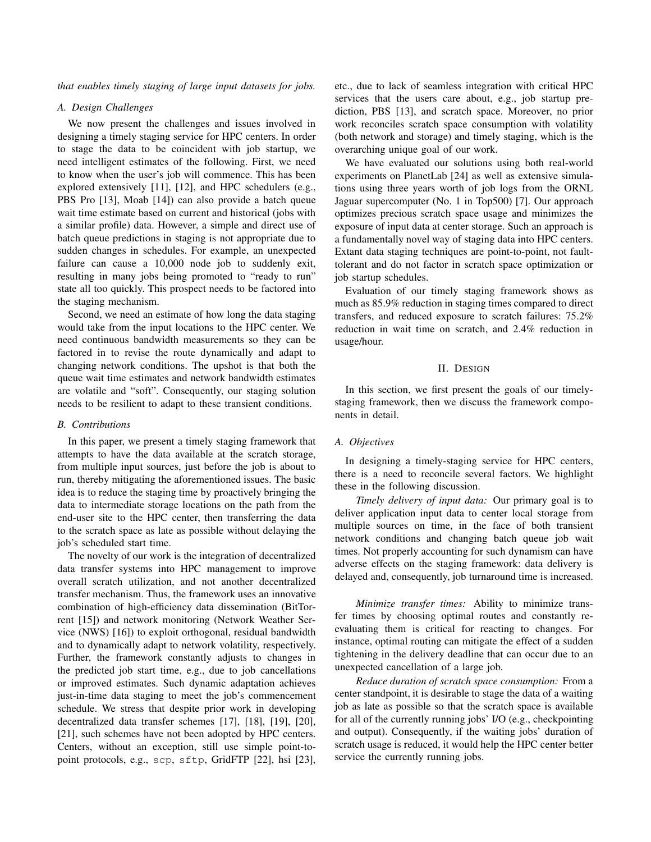*that enables timely staging of large input datasets for jobs.*

# *A. Design Challenges*

We now present the challenges and issues involved in designing a timely staging service for HPC centers. In order to stage the data to be coincident with job startup, we need intelligent estimates of the following. First, we need to know when the user's job will commence. This has been explored extensively [11], [12], and HPC schedulers (e.g., PBS Pro [13], Moab [14]) can also provide a batch queue wait time estimate based on current and historical (jobs with a similar profile) data. However, a simple and direct use of batch queue predictions in staging is not appropriate due to sudden changes in schedules. For example, an unexpected failure can cause a 10,000 node job to suddenly exit, resulting in many jobs being promoted to "ready to run" state all too quickly. This prospect needs to be factored into the staging mechanism.

Second, we need an estimate of how long the data staging would take from the input locations to the HPC center. We need continuous bandwidth measurements so they can be factored in to revise the route dynamically and adapt to changing network conditions. The upshot is that both the queue wait time estimates and network bandwidth estimates are volatile and "soft". Consequently, our staging solution needs to be resilient to adapt to these transient conditions.

#### *B. Contributions*

In this paper, we present a timely staging framework that attempts to have the data available at the scratch storage, from multiple input sources, just before the job is about to run, thereby mitigating the aforementioned issues. The basic idea is to reduce the staging time by proactively bringing the data to intermediate storage locations on the path from the end-user site to the HPC center, then transferring the data to the scratch space as late as possible without delaying the job's scheduled start time.

The novelty of our work is the integration of decentralized data transfer systems into HPC management to improve overall scratch utilization, and not another decentralized transfer mechanism. Thus, the framework uses an innovative combination of high-efficiency data dissemination (BitTorrent [15]) and network monitoring (Network Weather Service (NWS) [16]) to exploit orthogonal, residual bandwidth and to dynamically adapt to network volatility, respectively. Further, the framework constantly adjusts to changes in the predicted job start time, e.g., due to job cancellations or improved estimates. Such dynamic adaptation achieves just-in-time data staging to meet the job's commencement schedule. We stress that despite prior work in developing decentralized data transfer schemes [17], [18], [19], [20], [21], such schemes have not been adopted by HPC centers. Centers, without an exception, still use simple point-topoint protocols, e.g., scp, sftp, GridFTP [22], hsi [23], etc., due to lack of seamless integration with critical HPC services that the users care about, e.g., job startup prediction, PBS [13], and scratch space. Moreover, no prior work reconciles scratch space consumption with volatility (both network and storage) and timely staging, which is the overarching unique goal of our work.

We have evaluated our solutions using both real-world experiments on PlanetLab [24] as well as extensive simulations using three years worth of job logs from the ORNL Jaguar supercomputer (No. 1 in Top500) [7]. Our approach optimizes precious scratch space usage and minimizes the exposure of input data at center storage. Such an approach is a fundamentally novel way of staging data into HPC centers. Extant data staging techniques are point-to-point, not faulttolerant and do not factor in scratch space optimization or job startup schedules.

Evaluation of our timely staging framework shows as much as 85.9% reduction in staging times compared to direct transfers, and reduced exposure to scratch failures: 75.2% reduction in wait time on scratch, and 2.4% reduction in usage/hour.

# II. DESIGN

In this section, we first present the goals of our timelystaging framework, then we discuss the framework components in detail.

#### *A. Objectives*

In designing a timely-staging service for HPC centers, there is a need to reconcile several factors. We highlight these in the following discussion.

*Timely delivery of input data:* Our primary goal is to deliver application input data to center local storage from multiple sources on time, in the face of both transient network conditions and changing batch queue job wait times. Not properly accounting for such dynamism can have adverse effects on the staging framework: data delivery is delayed and, consequently, job turnaround time is increased.

*Minimize transfer times:* Ability to minimize transfer times by choosing optimal routes and constantly reevaluating them is critical for reacting to changes. For instance, optimal routing can mitigate the effect of a sudden tightening in the delivery deadline that can occur due to an unexpected cancellation of a large job.

*Reduce duration of scratch space consumption:* From a center standpoint, it is desirable to stage the data of a waiting job as late as possible so that the scratch space is available for all of the currently running jobs' I/O (e.g., checkpointing and output). Consequently, if the waiting jobs' duration of scratch usage is reduced, it would help the HPC center better service the currently running jobs.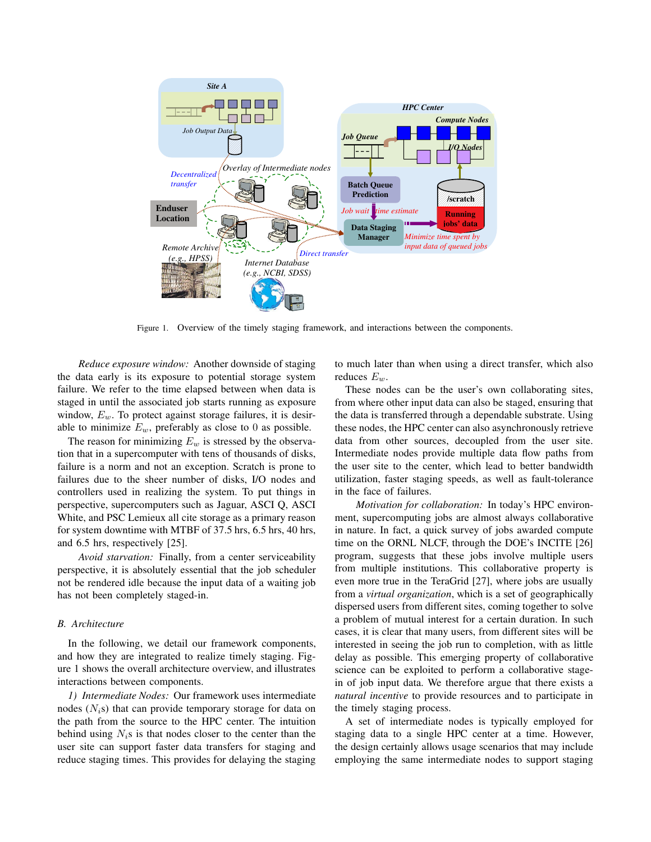

Figure 1. Overview of the timely staging framework, and interactions between the components.

*Reduce exposure window:* Another downside of staging the data early is its exposure to potential storage system failure. We refer to the time elapsed between when data is staged in until the associated job starts running as exposure window,  $E_w$ . To protect against storage failures, it is desirable to minimize  $E_w$ , preferably as close to 0 as possible.

The reason for minimizing  $E_w$  is stressed by the observation that in a supercomputer with tens of thousands of disks, failure is a norm and not an exception. Scratch is prone to failures due to the sheer number of disks, I/O nodes and controllers used in realizing the system. To put things in perspective, supercomputers such as Jaguar, ASCI Q, ASCI White, and PSC Lemieux all cite storage as a primary reason for system downtime with MTBF of 37.5 hrs, 6.5 hrs, 40 hrs, and 6.5 hrs, respectively [25].

*Avoid starvation:* Finally, from a center serviceability perspective, it is absolutely essential that the job scheduler not be rendered idle because the input data of a waiting job has not been completely staged-in.

# *B. Architecture*

In the following, we detail our framework components, and how they are integrated to realize timely staging. Figure 1 shows the overall architecture overview, and illustrates interactions between components.

*1) Intermediate Nodes:* Our framework uses intermediate nodes  $(N_i s)$  that can provide temporary storage for data on the path from the source to the HPC center. The intuition behind using  $N_i$ s is that nodes closer to the center than the user site can support faster data transfers for staging and reduce staging times. This provides for delaying the staging to much later than when using a direct transfer, which also reduces  $E_w$ .

These nodes can be the user's own collaborating sites, from where other input data can also be staged, ensuring that the data is transferred through a dependable substrate. Using these nodes, the HPC center can also asynchronously retrieve data from other sources, decoupled from the user site. Intermediate nodes provide multiple data flow paths from the user site to the center, which lead to better bandwidth utilization, faster staging speeds, as well as fault-tolerance in the face of failures.

*Motivation for collaboration:* In today's HPC environment, supercomputing jobs are almost always collaborative in nature. In fact, a quick survey of jobs awarded compute time on the ORNL NLCF, through the DOE's INCITE [26] program, suggests that these jobs involve multiple users from multiple institutions. This collaborative property is even more true in the TeraGrid [27], where jobs are usually from a *virtual organization*, which is a set of geographically dispersed users from different sites, coming together to solve a problem of mutual interest for a certain duration. In such cases, it is clear that many users, from different sites will be interested in seeing the job run to completion, with as little delay as possible. This emerging property of collaborative science can be exploited to perform a collaborative stagein of job input data. We therefore argue that there exists a *natural incentive* to provide resources and to participate in the timely staging process.

A set of intermediate nodes is typically employed for staging data to a single HPC center at a time. However, the design certainly allows usage scenarios that may include employing the same intermediate nodes to support staging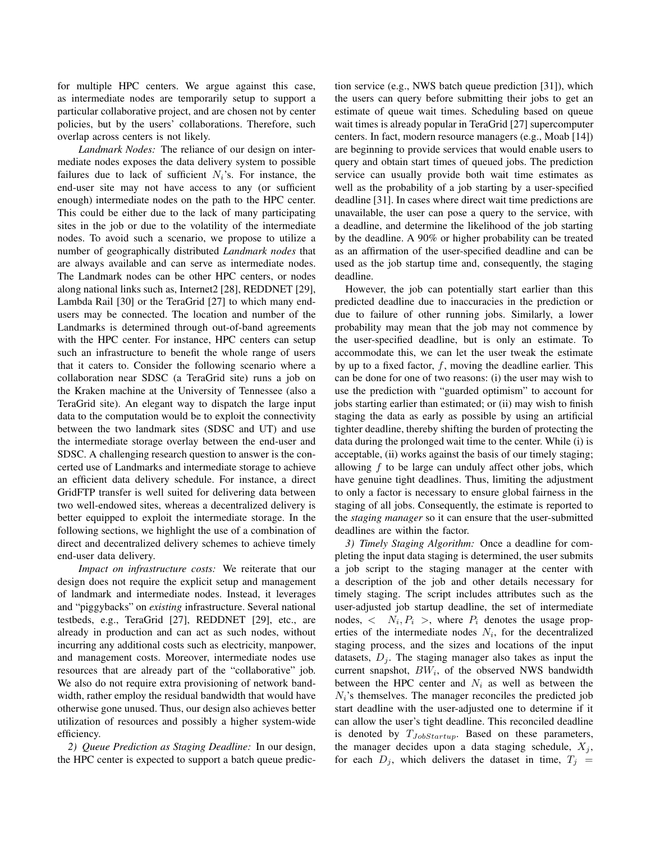for multiple HPC centers. We argue against this case, as intermediate nodes are temporarily setup to support a particular collaborative project, and are chosen not by center policies, but by the users' collaborations. Therefore, such overlap across centers is not likely.

*Landmark Nodes:* The reliance of our design on intermediate nodes exposes the data delivery system to possible failures due to lack of sufficient  $N_i$ 's. For instance, the end-user site may not have access to any (or sufficient enough) intermediate nodes on the path to the HPC center. This could be either due to the lack of many participating sites in the job or due to the volatility of the intermediate nodes. To avoid such a scenario, we propose to utilize a number of geographically distributed *Landmark nodes* that are always available and can serve as intermediate nodes. The Landmark nodes can be other HPC centers, or nodes along national links such as, Internet2 [28], REDDNET [29], Lambda Rail [30] or the TeraGrid [27] to which many endusers may be connected. The location and number of the Landmarks is determined through out-of-band agreements with the HPC center. For instance, HPC centers can setup such an infrastructure to benefit the whole range of users that it caters to. Consider the following scenario where a collaboration near SDSC (a TeraGrid site) runs a job on the Kraken machine at the University of Tennessee (also a TeraGrid site). An elegant way to dispatch the large input data to the computation would be to exploit the connectivity between the two landmark sites (SDSC and UT) and use the intermediate storage overlay between the end-user and SDSC. A challenging research question to answer is the concerted use of Landmarks and intermediate storage to achieve an efficient data delivery schedule. For instance, a direct GridFTP transfer is well suited for delivering data between two well-endowed sites, whereas a decentralized delivery is better equipped to exploit the intermediate storage. In the following sections, we highlight the use of a combination of direct and decentralized delivery schemes to achieve timely end-user data delivery.

*Impact on infrastructure costs:* We reiterate that our design does not require the explicit setup and management of landmark and intermediate nodes. Instead, it leverages and "piggybacks" on *existing* infrastructure. Several national testbeds, e.g., TeraGrid [27], REDDNET [29], etc., are already in production and can act as such nodes, without incurring any additional costs such as electricity, manpower, and management costs. Moreover, intermediate nodes use resources that are already part of the "collaborative" job. We also do not require extra provisioning of network bandwidth, rather employ the residual bandwidth that would have otherwise gone unused. Thus, our design also achieves better utilization of resources and possibly a higher system-wide efficiency.

*2) Queue Prediction as Staging Deadline:* In our design, the HPC center is expected to support a batch queue prediction service (e.g., NWS batch queue prediction [31]), which the users can query before submitting their jobs to get an estimate of queue wait times. Scheduling based on queue wait times is already popular in TeraGrid [27] supercomputer centers. In fact, modern resource managers (e.g., Moab [14]) are beginning to provide services that would enable users to query and obtain start times of queued jobs. The prediction service can usually provide both wait time estimates as well as the probability of a job starting by a user-specified deadline [31]. In cases where direct wait time predictions are unavailable, the user can pose a query to the service, with a deadline, and determine the likelihood of the job starting by the deadline. A 90% or higher probability can be treated as an affirmation of the user-specified deadline and can be used as the job startup time and, consequently, the staging deadline.

However, the job can potentially start earlier than this predicted deadline due to inaccuracies in the prediction or due to failure of other running jobs. Similarly, a lower probability may mean that the job may not commence by the user-specified deadline, but is only an estimate. To accommodate this, we can let the user tweak the estimate by up to a fixed factor,  $f$ , moving the deadline earlier. This can be done for one of two reasons: (i) the user may wish to use the prediction with "guarded optimism" to account for jobs starting earlier than estimated; or (ii) may wish to finish staging the data as early as possible by using an artificial tighter deadline, thereby shifting the burden of protecting the data during the prolonged wait time to the center. While (i) is acceptable, (ii) works against the basis of our timely staging; allowing  $f$  to be large can unduly affect other jobs, which have genuine tight deadlines. Thus, limiting the adjustment to only a factor is necessary to ensure global fairness in the staging of all jobs. Consequently, the estimate is reported to the *staging manager* so it can ensure that the user-submitted deadlines are within the factor.

*3) Timely Staging Algorithm:* Once a deadline for completing the input data staging is determined, the user submits a job script to the staging manager at the center with a description of the job and other details necessary for timely staging. The script includes attributes such as the user-adjusted job startup deadline, the set of intermediate nodes,  $\langle N_i, P_i \rangle$ , where  $P_i$  denotes the usage properties of the intermediate nodes  $N_i$ , for the decentralized staging process, and the sizes and locations of the input datasets,  $D_i$ . The staging manager also takes as input the current snapshot,  $BW_i$ , of the observed NWS bandwidth between the HPC center and  $N_i$  as well as between the  $N_i$ 's themselves. The manager reconciles the predicted job start deadline with the user-adjusted one to determine if it can allow the user's tight deadline. This reconciled deadline is denoted by  $T_{JobStartup}$ . Based on these parameters, the manager decides upon a data staging schedule,  $X_j$ , for each  $D_j$ , which delivers the dataset in time,  $T_j$  =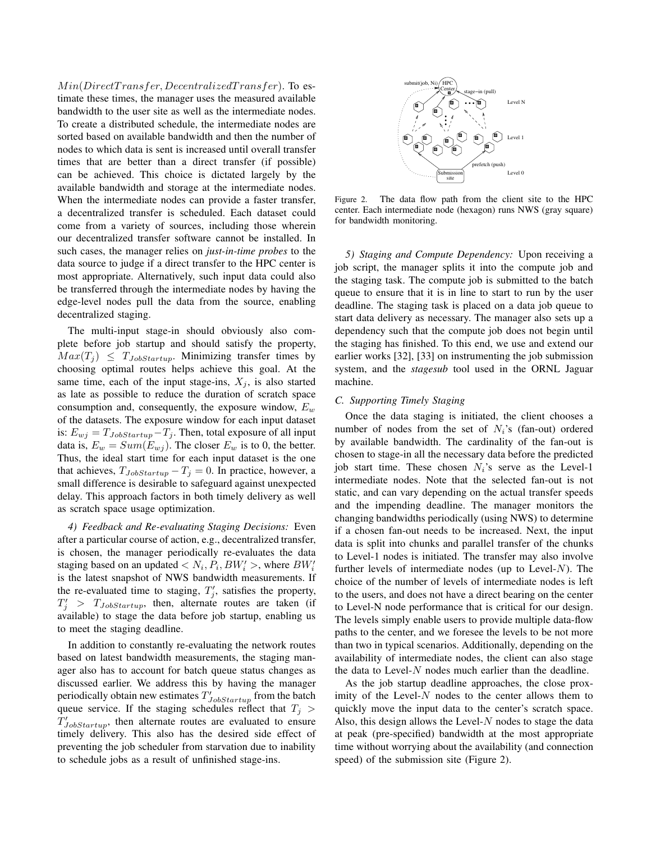Min(DirectTransfer, DecentralizedTransfer). To estimate these times, the manager uses the measured available bandwidth to the user site as well as the intermediate nodes. To create a distributed schedule, the intermediate nodes are sorted based on available bandwidth and then the number of nodes to which data is sent is increased until overall transfer times that are better than a direct transfer (if possible) can be achieved. This choice is dictated largely by the available bandwidth and storage at the intermediate nodes. When the intermediate nodes can provide a faster transfer, a decentralized transfer is scheduled. Each dataset could come from a variety of sources, including those wherein our decentralized transfer software cannot be installed. In such cases, the manager relies on *just-in-time probes* to the data source to judge if a direct transfer to the HPC center is most appropriate. Alternatively, such input data could also be transferred through the intermediate nodes by having the edge-level nodes pull the data from the source, enabling decentralized staging.

The multi-input stage-in should obviously also complete before job startup and should satisfy the property,  $Max(T_j) \leq T_{JobStartup}$ . Minimizing transfer times by choosing optimal routes helps achieve this goal. At the same time, each of the input stage-ins,  $X_j$ , is also started as late as possible to reduce the duration of scratch space consumption and, consequently, the exposure window,  $E_w$ of the datasets. The exposure window for each input dataset is:  $E_{wj} = T_{JobStartup} - T_j$ . Then, total exposure of all input data is,  $E_w = Sum(E_{wj})$ . The closer  $E_w$  is to 0, the better. Thus, the ideal start time for each input dataset is the one that achieves,  $T_{JobStartup} - T_j = 0$ . In practice, however, a small difference is desirable to safeguard against unexpected delay. This approach factors in both timely delivery as well as scratch space usage optimization.

*4) Feedback and Re-evaluating Staging Decisions:* Even after a particular course of action, e.g., decentralized transfer, is chosen, the manager periodically re-evaluates the data staging based on an updated  $\langle N_i, P_i, BW_i' \rangle$ , where  $BW_i'$ is the latest snapshot of NWS bandwidth measurements. If the re-evaluated time to staging,  $T'_j$ , satisfies the property,  $T'_j$  >  $T_{JobStartup}$ , then, alternate routes are taken (if available) to stage the data before job startup, enabling us to meet the staging deadline.

In addition to constantly re-evaluating the network routes based on latest bandwidth measurements, the staging manager also has to account for batch queue status changes as discussed earlier. We address this by having the manager periodically obtain new estimates  $T'_{JobStartup}$  from the batch queue service. If the staging schedules reflect that  $T_j$  >  $T'_{JobStartup}$ , then alternate routes are evaluated to ensure timely delivery. This also has the desired side effect of preventing the job scheduler from starvation due to inability to schedule jobs as a result of unfinished stage-ins.



Figure 2. The data flow path from the client site to the HPC center. Each intermediate node (hexagon) runs NWS (gray square) for bandwidth monitoring.

*5) Staging and Compute Dependency:* Upon receiving a job script, the manager splits it into the compute job and the staging task. The compute job is submitted to the batch queue to ensure that it is in line to start to run by the user deadline. The staging task is placed on a data job queue to start data delivery as necessary. The manager also sets up a dependency such that the compute job does not begin until the staging has finished. To this end, we use and extend our earlier works [32], [33] on instrumenting the job submission system, and the *stagesub* tool used in the ORNL Jaguar machine.

### *C. Supporting Timely Staging*

Once the data staging is initiated, the client chooses a number of nodes from the set of  $N_i$ 's (fan-out) ordered by available bandwidth. The cardinality of the fan-out is chosen to stage-in all the necessary data before the predicted job start time. These chosen  $N_i$ 's serve as the Level-1 intermediate nodes. Note that the selected fan-out is not static, and can vary depending on the actual transfer speeds and the impending deadline. The manager monitors the changing bandwidths periodically (using NWS) to determine if a chosen fan-out needs to be increased. Next, the input data is split into chunks and parallel transfer of the chunks to Level-1 nodes is initiated. The transfer may also involve further levels of intermediate nodes (up to Level- $N$ ). The choice of the number of levels of intermediate nodes is left to the users, and does not have a direct bearing on the center to Level-N node performance that is critical for our design. The levels simply enable users to provide multiple data-flow paths to the center, and we foresee the levels to be not more than two in typical scenarios. Additionally, depending on the availability of intermediate nodes, the client can also stage the data to Level-N nodes much earlier than the deadline.

As the job startup deadline approaches, the close proximity of the Level- $N$  nodes to the center allows them to quickly move the input data to the center's scratch space. Also, this design allows the Level- $N$  nodes to stage the data at peak (pre-specified) bandwidth at the most appropriate time without worrying about the availability (and connection speed) of the submission site (Figure 2).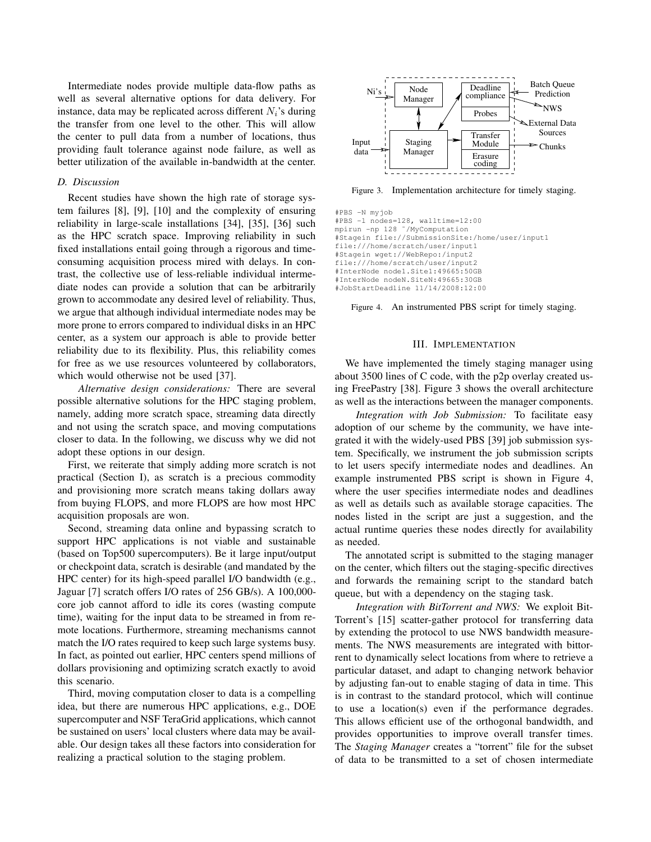Intermediate nodes provide multiple data-flow paths as well as several alternative options for data delivery. For instance, data may be replicated across different  $N_i$ 's during the transfer from one level to the other. This will allow the center to pull data from a number of locations, thus providing fault tolerance against node failure, as well as better utilization of the available in-bandwidth at the center.

### *D. Discussion*

Recent studies have shown the high rate of storage system failures [8], [9], [10] and the complexity of ensuring reliability in large-scale installations [34], [35], [36] such as the HPC scratch space. Improving reliability in such fixed installations entail going through a rigorous and timeconsuming acquisition process mired with delays. In contrast, the collective use of less-reliable individual intermediate nodes can provide a solution that can be arbitrarily grown to accommodate any desired level of reliability. Thus, we argue that although individual intermediate nodes may be more prone to errors compared to individual disks in an HPC center, as a system our approach is able to provide better reliability due to its flexibility. Plus, this reliability comes for free as we use resources volunteered by collaborators, which would otherwise not be used [37].

*Alternative design considerations:* There are several possible alternative solutions for the HPC staging problem, namely, adding more scratch space, streaming data directly and not using the scratch space, and moving computations closer to data. In the following, we discuss why we did not adopt these options in our design.

First, we reiterate that simply adding more scratch is not practical (Section I), as scratch is a precious commodity and provisioning more scratch means taking dollars away from buying FLOPS, and more FLOPS are how most HPC acquisition proposals are won.

Second, streaming data online and bypassing scratch to support HPC applications is not viable and sustainable (based on Top500 supercomputers). Be it large input/output or checkpoint data, scratch is desirable (and mandated by the HPC center) for its high-speed parallel I/O bandwidth (e.g., Jaguar [7] scratch offers I/O rates of 256 GB/s). A 100,000 core job cannot afford to idle its cores (wasting compute time), waiting for the input data to be streamed in from remote locations. Furthermore, streaming mechanisms cannot match the I/O rates required to keep such large systems busy. In fact, as pointed out earlier, HPC centers spend millions of dollars provisioning and optimizing scratch exactly to avoid this scenario.

Third, moving computation closer to data is a compelling idea, but there are numerous HPC applications, e.g., DOE supercomputer and NSF TeraGrid applications, which cannot be sustained on users' local clusters where data may be available. Our design takes all these factors into consideration for realizing a practical solution to the staging problem.



Figure 3. Implementation architecture for timely staging.

```
#PBS -N myjob
#PBS -l nodes=128, walltime=12:00
mpirun -np 128 ˜/MyComputation
#Stagein file://SubmissionSite:/home/user/input1
file:///home/scratch/user/input1
#Stagein wget://WebRepo:/input2
file:///home/scratch/user/input2
#InterNode node1.Site1:49665:50GB
#InterNode nodeN.SiteN:49665:30GB
#JobStartDeadline 11/14/2008:12:00
```
Figure 4. An instrumented PBS script for timely staging.

#### III. IMPLEMENTATION

We have implemented the timely staging manager using about 3500 lines of C code, with the p2p overlay created using FreePastry [38]. Figure 3 shows the overall architecture as well as the interactions between the manager components.

*Integration with Job Submission:* To facilitate easy adoption of our scheme by the community, we have integrated it with the widely-used PBS [39] job submission system. Specifically, we instrument the job submission scripts to let users specify intermediate nodes and deadlines. An example instrumented PBS script is shown in Figure 4, where the user specifies intermediate nodes and deadlines as well as details such as available storage capacities. The nodes listed in the script are just a suggestion, and the actual runtime queries these nodes directly for availability as needed.

The annotated script is submitted to the staging manager on the center, which filters out the staging-specific directives and forwards the remaining script to the standard batch queue, but with a dependency on the staging task.

*Integration with BitTorrent and NWS:* We exploit Bit-Torrent's [15] scatter-gather protocol for transferring data by extending the protocol to use NWS bandwidth measurements. The NWS measurements are integrated with bittorrent to dynamically select locations from where to retrieve a particular dataset, and adapt to changing network behavior by adjusting fan-out to enable staging of data in time. This is in contrast to the standard protocol, which will continue to use a location(s) even if the performance degrades. This allows efficient use of the orthogonal bandwidth, and provides opportunities to improve overall transfer times. The *Staging Manager* creates a "torrent" file for the subset of data to be transmitted to a set of chosen intermediate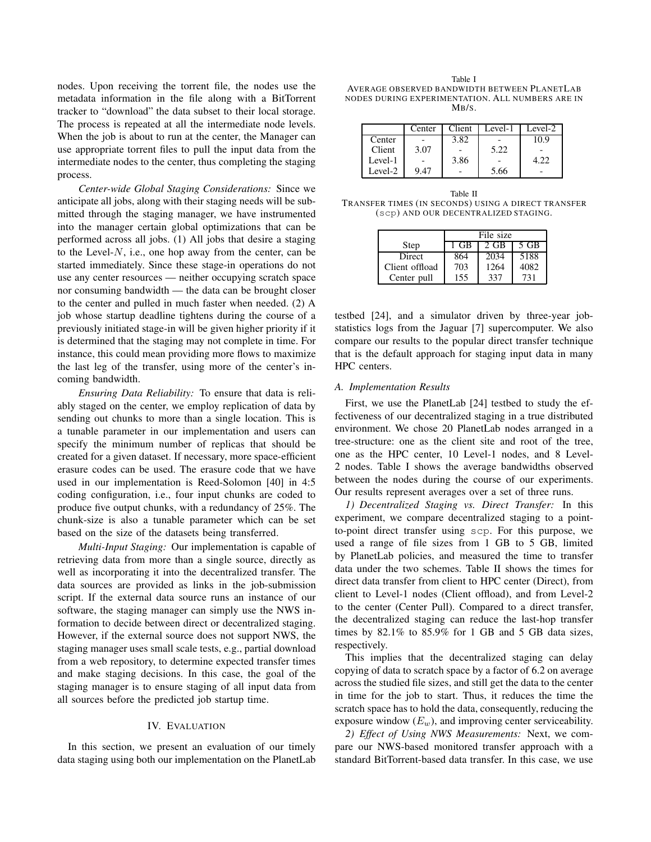nodes. Upon receiving the torrent file, the nodes use the metadata information in the file along with a BitTorrent tracker to "download" the data subset to their local storage. The process is repeated at all the intermediate node levels. When the job is about to run at the center, the Manager can use appropriate torrent files to pull the input data from the intermediate nodes to the center, thus completing the staging process.

*Center-wide Global Staging Considerations:* Since we anticipate all jobs, along with their staging needs will be submitted through the staging manager, we have instrumented into the manager certain global optimizations that can be performed across all jobs. (1) All jobs that desire a staging to the Level- $N$ , i.e., one hop away from the center, can be started immediately. Since these stage-in operations do not use any center resources — neither occupying scratch space nor consuming bandwidth — the data can be brought closer to the center and pulled in much faster when needed. (2) A job whose startup deadline tightens during the course of a previously initiated stage-in will be given higher priority if it is determined that the staging may not complete in time. For instance, this could mean providing more flows to maximize the last leg of the transfer, using more of the center's incoming bandwidth.

*Ensuring Data Reliability:* To ensure that data is reliably staged on the center, we employ replication of data by sending out chunks to more than a single location. This is a tunable parameter in our implementation and users can specify the minimum number of replicas that should be created for a given dataset. If necessary, more space-efficient erasure codes can be used. The erasure code that we have used in our implementation is Reed-Solomon [40] in 4:5 coding configuration, i.e., four input chunks are coded to produce five output chunks, with a redundancy of 25%. The chunk-size is also a tunable parameter which can be set based on the size of the datasets being transferred.

*Multi-Input Staging:* Our implementation is capable of retrieving data from more than a single source, directly as well as incorporating it into the decentralized transfer. The data sources are provided as links in the job-submission script. If the external data source runs an instance of our software, the staging manager can simply use the NWS information to decide between direct or decentralized staging. However, if the external source does not support NWS, the staging manager uses small scale tests, e.g., partial download from a web repository, to determine expected transfer times and make staging decisions. In this case, the goal of the staging manager is to ensure staging of all input data from all sources before the predicted job startup time.

### IV. EVALUATION

In this section, we present an evaluation of our timely data staging using both our implementation on the PlanetLab

Table I AVERAGE OBSERVED BANDWIDTH BETWEEN PLANETLAB NODES DURING EXPERIMENTATION. ALL NUMBERS ARE IN MB/S.

|         | Center | Client | Level-1 | Level-2 |
|---------|--------|--------|---------|---------|
| Center  |        | 3.82   |         | 10.9    |
| Client  | 3.07   |        | 5.22    |         |
| Level-1 |        | 3.86   |         | 4.22.   |
| Level-2 | 9.47   |        | 5.66    |         |

Table II TRANSFER TIMES (IN SECONDS) USING A DIRECT TRANSFER (scp) AND OUR DECENTRALIZED STAGING.

|                | File size |       |      |
|----------------|-----------|-------|------|
| Step           | 1 GR      | 2. GB | 5 GB |
| Direct         | 864       | 2034  | 5188 |
| Client offload | 703       | 1264  | 4082 |
| Center pull    | 155       | 337   | 731  |

testbed [24], and a simulator driven by three-year jobstatistics logs from the Jaguar [7] supercomputer. We also compare our results to the popular direct transfer technique that is the default approach for staging input data in many HPC centers.

## *A. Implementation Results*

First, we use the PlanetLab [24] testbed to study the effectiveness of our decentralized staging in a true distributed environment. We chose 20 PlanetLab nodes arranged in a tree-structure: one as the client site and root of the tree, one as the HPC center, 10 Level-1 nodes, and 8 Level-2 nodes. Table I shows the average bandwidths observed between the nodes during the course of our experiments. Our results represent averages over a set of three runs.

*1) Decentralized Staging vs. Direct Transfer:* In this experiment, we compare decentralized staging to a pointto-point direct transfer using scp. For this purpose, we used a range of file sizes from 1 GB to 5 GB, limited by PlanetLab policies, and measured the time to transfer data under the two schemes. Table II shows the times for direct data transfer from client to HPC center (Direct), from client to Level-1 nodes (Client offload), and from Level-2 to the center (Center Pull). Compared to a direct transfer, the decentralized staging can reduce the last-hop transfer times by 82.1% to 85.9% for 1 GB and 5 GB data sizes, respectively.

This implies that the decentralized staging can delay copying of data to scratch space by a factor of 6.2 on average across the studied file sizes, and still get the data to the center in time for the job to start. Thus, it reduces the time the scratch space has to hold the data, consequently, reducing the exposure window  $(E_w)$ , and improving center serviceability.

*2) Effect of Using NWS Measurements:* Next, we compare our NWS-based monitored transfer approach with a standard BitTorrent-based data transfer. In this case, we use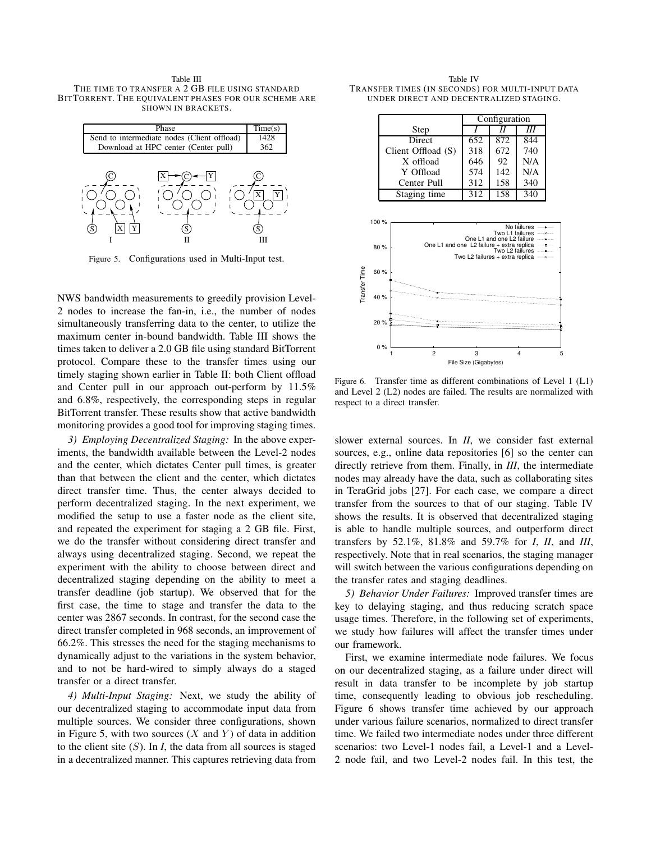Table III THE TIME TO TRANSFER A 2 GB FILE USING STANDARD BITTORRENT. THE EQUIVALENT PHASES FOR OUR SCHEME ARE SHOWN IN BRACKETS.



Figure 5. Configurations used in Multi-Input test.

NWS bandwidth measurements to greedily provision Level-2 nodes to increase the fan-in, i.e., the number of nodes simultaneously transferring data to the center, to utilize the maximum center in-bound bandwidth. Table III shows the times taken to deliver a 2.0 GB file using standard BitTorrent protocol. Compare these to the transfer times using our timely staging shown earlier in Table II: both Client offload and Center pull in our approach out-perform by 11.5% and 6.8%, respectively, the corresponding steps in regular BitTorrent transfer. These results show that active bandwidth monitoring provides a good tool for improving staging times.

*3) Employing Decentralized Staging:* In the above experiments, the bandwidth available between the Level-2 nodes and the center, which dictates Center pull times, is greater than that between the client and the center, which dictates direct transfer time. Thus, the center always decided to perform decentralized staging. In the next experiment, we modified the setup to use a faster node as the client site, and repeated the experiment for staging a 2 GB file. First, we do the transfer without considering direct transfer and always using decentralized staging. Second, we repeat the experiment with the ability to choose between direct and decentralized staging depending on the ability to meet a transfer deadline (job startup). We observed that for the first case, the time to stage and transfer the data to the center was 2867 seconds. In contrast, for the second case the direct transfer completed in 968 seconds, an improvement of 66.2%. This stresses the need for the staging mechanisms to dynamically adjust to the variations in the system behavior, and to not be hard-wired to simply always do a staged transfer or a direct transfer.

*4) Multi-Input Staging:* Next, we study the ability of our decentralized staging to accommodate input data from multiple sources. We consider three configurations, shown in Figure 5, with two sources  $(X \text{ and } Y)$  of data in addition to the client site  $(S)$ . In *I*, the data from all sources is staged in a decentralized manner. This captures retrieving data from

Table IV TRANSFER TIMES (IN SECONDS) FOR MULTI-INPUT DATA UNDER DIRECT AND DECENTRALIZED STAGING.

|                    | Configuration |     |     |
|--------------------|---------------|-----|-----|
| Step               |               |     | Ш   |
| Direct             | 652           | 872 | 844 |
| Client Offload (S) | 318           | 672 | 740 |
| X offload          | 646           | 92  | N/A |
| Y Offload          | 574           | 142 | N/A |
| Center Pull        | 312           | 158 | 340 |
| Staging time       | 312           | 158 |     |



Figure 6. Transfer time as different combinations of Level 1 (L1) and Level 2 (L2) nodes are failed. The results are normalized with respect to a direct transfer.

slower external sources. In *II*, we consider fast external sources, e.g., online data repositories [6] so the center can directly retrieve from them. Finally, in *III*, the intermediate nodes may already have the data, such as collaborating sites in TeraGrid jobs [27]. For each case, we compare a direct transfer from the sources to that of our staging. Table IV shows the results. It is observed that decentralized staging is able to handle multiple sources, and outperform direct transfers by 52.1%, 81.8% and 59.7% for *I*, *II*, and *III*, respectively. Note that in real scenarios, the staging manager will switch between the various configurations depending on the transfer rates and staging deadlines.

*5) Behavior Under Failures:* Improved transfer times are key to delaying staging, and thus reducing scratch space usage times. Therefore, in the following set of experiments, we study how failures will affect the transfer times under our framework.

First, we examine intermediate node failures. We focus on our decentralized staging, as a failure under direct will result in data transfer to be incomplete by job startup time, consequently leading to obvious job rescheduling. Figure 6 shows transfer time achieved by our approach under various failure scenarios, normalized to direct transfer time. We failed two intermediate nodes under three different scenarios: two Level-1 nodes fail, a Level-1 and a Level-2 node fail, and two Level-2 nodes fail. In this test, the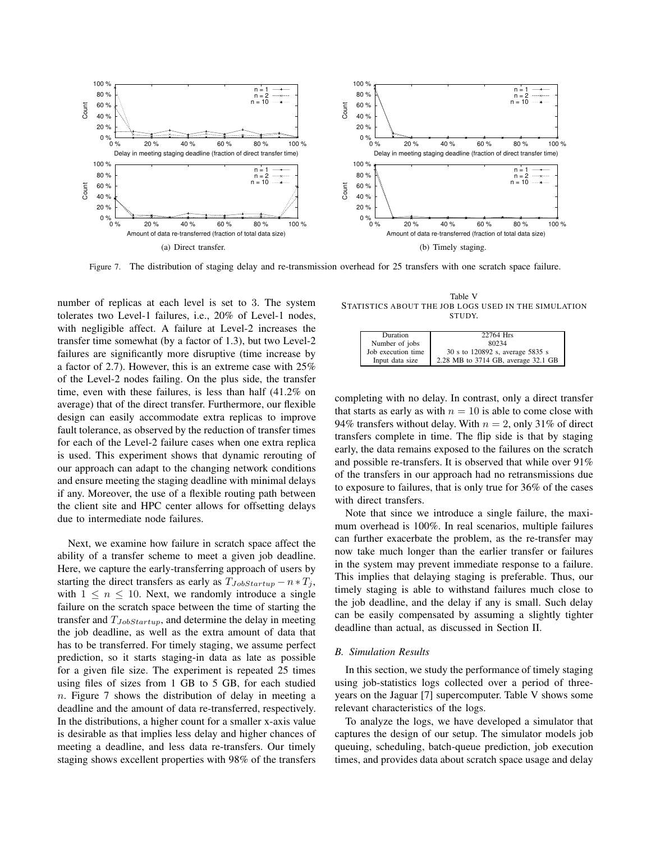

Figure 7. The distribution of staging delay and re-transmission overhead for 25 transfers with one scratch space failure.

number of replicas at each level is set to 3. The system tolerates two Level-1 failures, i.e., 20% of Level-1 nodes, with negligible affect. A failure at Level-2 increases the transfer time somewhat (by a factor of 1.3), but two Level-2 failures are significantly more disruptive (time increase by a factor of 2.7). However, this is an extreme case with 25% of the Level-2 nodes failing. On the plus side, the transfer time, even with these failures, is less than half (41.2% on average) that of the direct transfer. Furthermore, our flexible design can easily accommodate extra replicas to improve fault tolerance, as observed by the reduction of transfer times for each of the Level-2 failure cases when one extra replica is used. This experiment shows that dynamic rerouting of our approach can adapt to the changing network conditions and ensure meeting the staging deadline with minimal delays if any. Moreover, the use of a flexible routing path between the client site and HPC center allows for offsetting delays due to intermediate node failures.

Next, we examine how failure in scratch space affect the ability of a transfer scheme to meet a given job deadline. Here, we capture the early-transferring approach of users by starting the direct transfers as early as  $T_{JobStartup} - n * T_i$ , with  $1 \leq n \leq 10$ . Next, we randomly introduce a single failure on the scratch space between the time of starting the transfer and  $T_{JobStartup}$ , and determine the delay in meeting the job deadline, as well as the extra amount of data that has to be transferred. For timely staging, we assume perfect prediction, so it starts staging-in data as late as possible for a given file size. The experiment is repeated 25 times using files of sizes from 1 GB to 5 GB, for each studied  $n.$  Figure 7 shows the distribution of delay in meeting a deadline and the amount of data re-transferred, respectively. In the distributions, a higher count for a smaller x-axis value is desirable as that implies less delay and higher chances of meeting a deadline, and less data re-transfers. Our timely staging shows excellent properties with 98% of the transfers

Table V STATISTICS ABOUT THE JOB LOGS USED IN THE SIMULATION STUDY.

| Duration           | 22764 Hrs                           |
|--------------------|-------------------------------------|
| Number of jobs     | 80234                               |
| Job execution time | 30 s to 120892 s, average 5835 s    |
| Input data size    | 2.28 MB to 3714 GB, average 32.1 GB |

completing with no delay. In contrast, only a direct transfer that starts as early as with  $n = 10$  is able to come close with 94% transfers without delay. With  $n = 2$ , only 31% of direct transfers complete in time. The flip side is that by staging early, the data remains exposed to the failures on the scratch and possible re-transfers. It is observed that while over 91% of the transfers in our approach had no retransmissions due to exposure to failures, that is only true for 36% of the cases with direct transfers.

Note that since we introduce a single failure, the maximum overhead is 100%. In real scenarios, multiple failures can further exacerbate the problem, as the re-transfer may now take much longer than the earlier transfer or failures in the system may prevent immediate response to a failure. This implies that delaying staging is preferable. Thus, our timely staging is able to withstand failures much close to the job deadline, and the delay if any is small. Such delay can be easily compensated by assuming a slightly tighter deadline than actual, as discussed in Section II.

#### *B. Simulation Results*

In this section, we study the performance of timely staging using job-statistics logs collected over a period of threeyears on the Jaguar [7] supercomputer. Table V shows some relevant characteristics of the logs.

To analyze the logs, we have developed a simulator that captures the design of our setup. The simulator models job queuing, scheduling, batch-queue prediction, job execution times, and provides data about scratch space usage and delay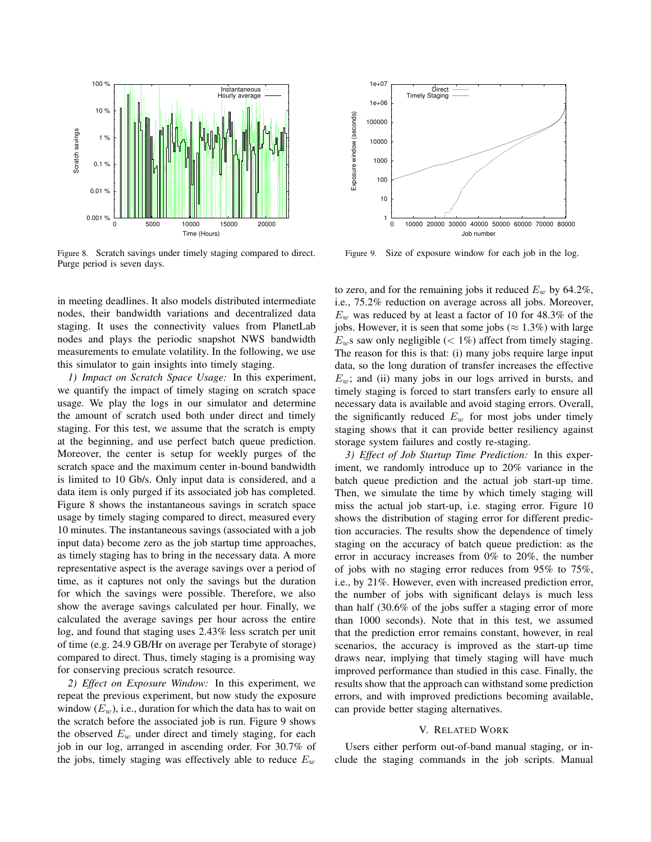

Figure 8. Scratch savings under timely staging compared to direct. Purge period is seven days.

in meeting deadlines. It also models distributed intermediate nodes, their bandwidth variations and decentralized data staging. It uses the connectivity values from PlanetLab nodes and plays the periodic snapshot NWS bandwidth measurements to emulate volatility. In the following, we use this simulator to gain insights into timely staging.

*1) Impact on Scratch Space Usage:* In this experiment, we quantify the impact of timely staging on scratch space usage. We play the logs in our simulator and determine the amount of scratch used both under direct and timely staging. For this test, we assume that the scratch is empty at the beginning, and use perfect batch queue prediction. Moreover, the center is setup for weekly purges of the scratch space and the maximum center in-bound bandwidth is limited to 10 Gb/s. Only input data is considered, and a data item is only purged if its associated job has completed. Figure 8 shows the instantaneous savings in scratch space usage by timely staging compared to direct, measured every 10 minutes. The instantaneous savings (associated with a job input data) become zero as the job startup time approaches, as timely staging has to bring in the necessary data. A more representative aspect is the average savings over a period of time, as it captures not only the savings but the duration for which the savings were possible. Therefore, we also show the average savings calculated per hour. Finally, we calculated the average savings per hour across the entire log, and found that staging uses 2.43% less scratch per unit of time (e.g. 24.9 GB/Hr on average per Terabyte of storage) compared to direct. Thus, timely staging is a promising way for conserving precious scratch resource.

*2) Effect on Exposure Window:* In this experiment, we repeat the previous experiment, but now study the exposure window  $(E_w)$ , i.e., duration for which the data has to wait on the scratch before the associated job is run. Figure 9 shows the observed  $E_w$  under direct and timely staging, for each job in our log, arranged in ascending order. For 30.7% of the jobs, timely staging was effectively able to reduce  $E_w$ 



Figure 9. Size of exposure window for each job in the log.

to zero, and for the remaining jobs it reduced  $E_w$  by 64.2%, i.e., 75.2% reduction on average across all jobs. Moreover,  $E_w$  was reduced by at least a factor of 10 for 48.3% of the jobs. However, it is seen that some jobs ( $\approx 1.3\%$ ) with large  $E_w$ s saw only negligible (< 1%) affect from timely staging. The reason for this is that: (i) many jobs require large input data, so the long duration of transfer increases the effective  $E_w$ ; and (ii) many jobs in our logs arrived in bursts, and timely staging is forced to start transfers early to ensure all necessary data is available and avoid staging errors. Overall, the significantly reduced  $E_w$  for most jobs under timely staging shows that it can provide better resiliency against storage system failures and costly re-staging.

*3) Effect of Job Startup Time Prediction:* In this experiment, we randomly introduce up to 20% variance in the batch queue prediction and the actual job start-up time. Then, we simulate the time by which timely staging will miss the actual job start-up, i.e. staging error. Figure 10 shows the distribution of staging error for different prediction accuracies. The results show the dependence of timely staging on the accuracy of batch queue prediction: as the error in accuracy increases from 0% to 20%, the number of jobs with no staging error reduces from 95% to 75%, i.e., by 21%. However, even with increased prediction error, the number of jobs with significant delays is much less than half (30.6% of the jobs suffer a staging error of more than 1000 seconds). Note that in this test, we assumed that the prediction error remains constant, however, in real scenarios, the accuracy is improved as the start-up time draws near, implying that timely staging will have much improved performance than studied in this case. Finally, the results show that the approach can withstand some prediction errors, and with improved predictions becoming available, can provide better staging alternatives.

# V. RELATED WORK

Users either perform out-of-band manual staging, or include the staging commands in the job scripts. Manual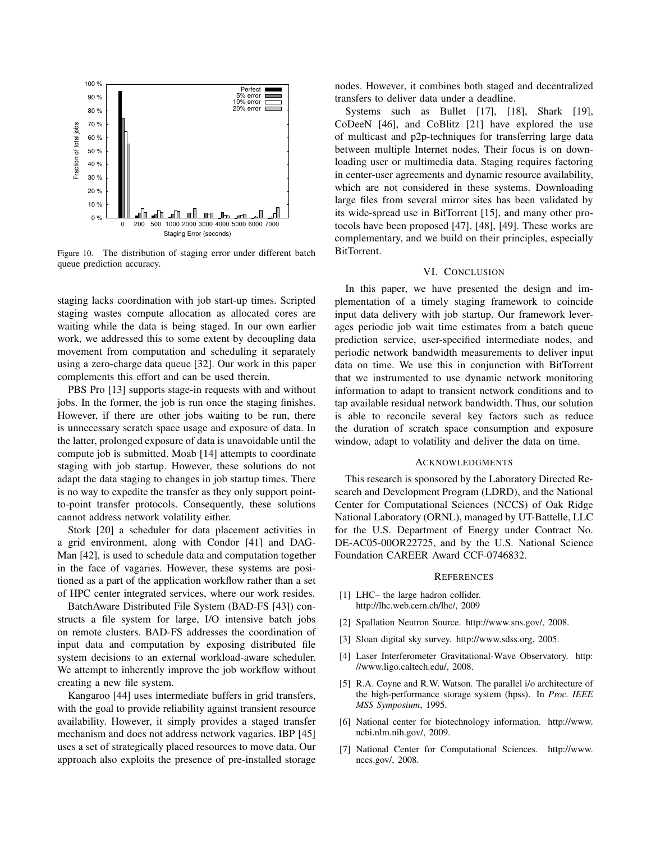

Figure 10. The distribution of staging error under different batch queue prediction accuracy.

staging lacks coordination with job start-up times. Scripted staging wastes compute allocation as allocated cores are waiting while the data is being staged. In our own earlier work, we addressed this to some extent by decoupling data movement from computation and scheduling it separately using a zero-charge data queue [32]. Our work in this paper complements this effort and can be used therein.

PBS Pro [13] supports stage-in requests with and without jobs. In the former, the job is run once the staging finishes. However, if there are other jobs waiting to be run, there is unnecessary scratch space usage and exposure of data. In the latter, prolonged exposure of data is unavoidable until the compute job is submitted. Moab [14] attempts to coordinate staging with job startup. However, these solutions do not adapt the data staging to changes in job startup times. There is no way to expedite the transfer as they only support pointto-point transfer protocols. Consequently, these solutions cannot address network volatility either.

Stork [20] a scheduler for data placement activities in a grid environment, along with Condor [41] and DAG-Man [42], is used to schedule data and computation together in the face of vagaries. However, these systems are positioned as a part of the application workflow rather than a set of HPC center integrated services, where our work resides.

BatchAware Distributed File System (BAD-FS [43]) constructs a file system for large, I/O intensive batch jobs on remote clusters. BAD-FS addresses the coordination of input data and computation by exposing distributed file system decisions to an external workload-aware scheduler. We attempt to inherently improve the job workflow without creating a new file system.

Kangaroo [44] uses intermediate buffers in grid transfers, with the goal to provide reliability against transient resource availability. However, it simply provides a staged transfer mechanism and does not address network vagaries. IBP [45] uses a set of strategically placed resources to move data. Our approach also exploits the presence of pre-installed storage nodes. However, it combines both staged and decentralized transfers to deliver data under a deadline.

Systems such as Bullet [17], [18], Shark [19], CoDeeN [46], and CoBlitz [21] have explored the use of multicast and p2p-techniques for transferring large data between multiple Internet nodes. Their focus is on downloading user or multimedia data. Staging requires factoring in center-user agreements and dynamic resource availability, which are not considered in these systems. Downloading large files from several mirror sites has been validated by its wide-spread use in BitTorrent [15], and many other protocols have been proposed [47], [48], [49]. These works are complementary, and we build on their principles, especially BitTorrent.

# VI. CONCLUSION

In this paper, we have presented the design and implementation of a timely staging framework to coincide input data delivery with job startup. Our framework leverages periodic job wait time estimates from a batch queue prediction service, user-specified intermediate nodes, and periodic network bandwidth measurements to deliver input data on time. We use this in conjunction with BitTorrent that we instrumented to use dynamic network monitoring information to adapt to transient network conditions and to tap available residual network bandwidth. Thus, our solution is able to reconcile several key factors such as reduce the duration of scratch space consumption and exposure window, adapt to volatility and deliver the data on time.

#### ACKNOWLEDGMENTS

This research is sponsored by the Laboratory Directed Research and Development Program (LDRD), and the National Center for Computational Sciences (NCCS) of Oak Ridge National Laboratory (ORNL), managed by UT-Battelle, LLC for the U.S. Department of Energy under Contract No. DE-AC05-00OR22725, and by the U.S. National Science Foundation CAREER Award CCF-0746832.

#### **REFERENCES**

- [1] LHC– the large hadron collider. http://lhc.web.cern.ch/lhc/, 2009
- [2] Spallation Neutron Source. http://www.sns.gov/, 2008.
- [3] Sloan digital sky survey. http://www.sdss.org, 2005.
- [4] Laser Interferometer Gravitational-Wave Observatory. http: //www.ligo.caltech.edu/, 2008.
- [5] R.A. Coyne and R.W. Watson. The parallel i/o architecture of the high-performance storage system (hpss). In *Proc. IEEE MSS Symposium*, 1995.
- [6] National center for biotechnology information. http://www. ncbi.nlm.nih.gov/, 2009.
- [7] National Center for Computational Sciences. http://www. nccs.gov/, 2008.